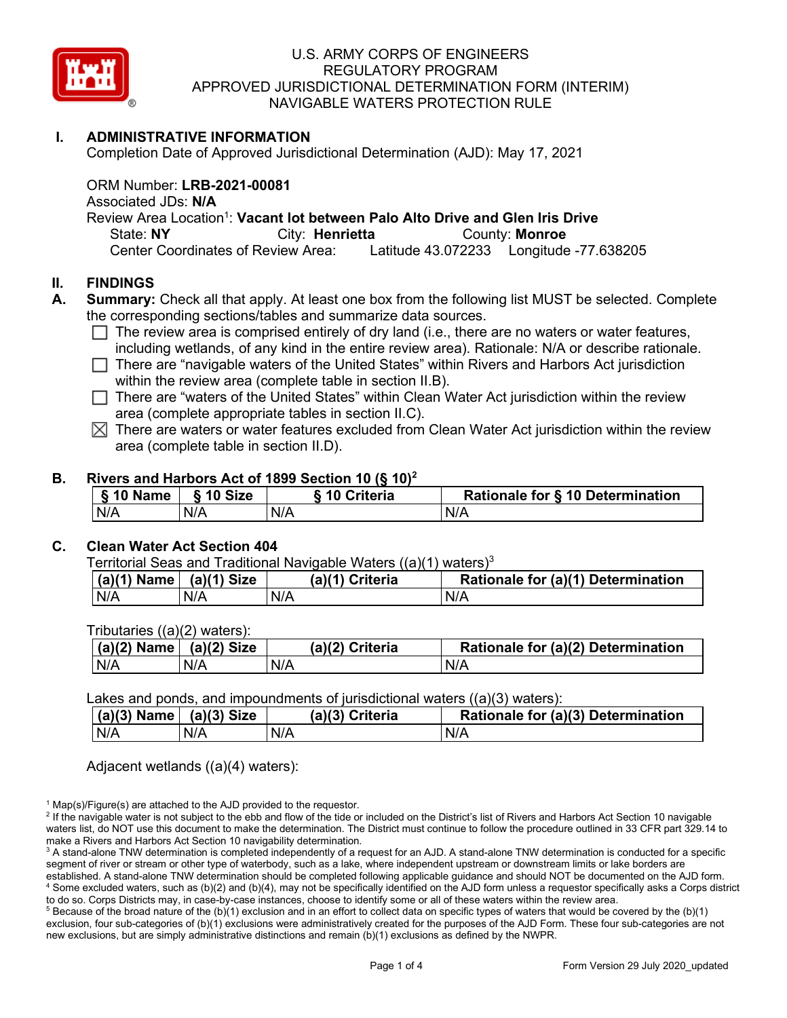

## **I. ADMINISTRATIVE INFORMATION**

Completion Date of Approved Jurisdictional Determination (AJD): May 17, 2021

ORM Number: **LRB-2021-00081**

Associated JDs: **N/A**

Review Area Location<sup>1</sup>: Vacant lot between Palo Alto Drive and Glen Iris Drive

State: **NY** City: **Henrietta** County: **Monroe**<br>Center Coordinates of Review Area: Latitude 43.072233 Longitude

Latitude 43.072233 Longitude -77.638205

### **II. FINDINGS**

- **A. Summary:** Check all that apply. At least one box from the following list MUST be selected. Complete the corresponding sections/tables and summarize data sources.
	- $\Box$  The review area is comprised entirely of dry land (i.e., there are no waters or water features, including wetlands, of any kind in the entire review area). Rationale: N/A or describe rationale.
	- $\Box$  There are "navigable waters of the United States" within Rivers and Harbors Act jurisdiction
		- within the review area (complete table in section II.B).
	- $\Box$  There are "waters of the United States" within Clean Water Act jurisdiction within the review area (complete appropriate tables in section II.C).
	- $\boxtimes$  There are waters or water features excluded from Clean Water Act jurisdiction within the review area (complete table in section II.D).

### **B. Rivers and Harbors Act of 1899 Section 10 (§ 10)2**

| § 10 Name | § 10 Size | <b>Sing Criteria</b> | Rationale for § 10 Determination |
|-----------|-----------|----------------------|----------------------------------|
| N/A       | N/A       | N/A                  | N/A                              |

#### **C. Clean Water Act Section 404**

Territorial Seas and Traditional Navigable Waters  $((a)(1)$  waters)<sup>3</sup>

| $ $ (a)(1) Name $ $ | $(a)(1)$ Size | (a)(1) Criteria | Rationale for (a)(1) Determination |
|---------------------|---------------|-----------------|------------------------------------|
| N/A                 | N/A           | N/A             | N/A                                |

Tributaries ((a)(2) waters):

| $(a)(2)$ Name | (a)(2) Size | (a)(2) Criteria | Rationale for (a)(2) Determination |
|---------------|-------------|-----------------|------------------------------------|
| N/A           | N/A         | N/A             | N/A                                |

Lakes and ponds, and impoundments of jurisdictional waters ((a)(3) waters):

|     | $(a)(3)$ Name<br>$(a)(3)$ Size |     | (a)(3) Criteria | Rationale for (a)(3) Determination |
|-----|--------------------------------|-----|-----------------|------------------------------------|
| N/A | N/A                            | N/A |                 | N/A                                |

Adjacent wetlands ((a)(4) waters):

 $1$  Map(s)/Figure(s) are attached to the AJD provided to the requestor.

<sup>2</sup> If the navigable water is not subject to the ebb and flow of the tide or included on the District's list of Rivers and Harbors Act Section 10 navigable waters list, do NOT use this document to make the determination. The District must continue to follow the procedure outlined in 33 CFR part 329.14 to make a Rivers and Harbors Act Section 10 navigability determination.

 $5$  Because of the broad nature of the (b)(1) exclusion and in an effort to collect data on specific types of waters that would be covered by the (b)(1) exclusion, four sub-categories of (b)(1) exclusions were administratively created for the purposes of the AJD Form. These four sub-categories are not new exclusions, but are simply administrative distinctions and remain (b)(1) exclusions as defined by the NWPR.

<sup>&</sup>lt;sup>3</sup> A stand-alone TNW determination is completed independently of a request for an AJD. A stand-alone TNW determination is conducted for a specific segment of river or stream or other type of waterbody, such as a lake, where independent upstream or downstream limits or lake borders are established. A stand-alone TNW determination should be completed following applicable guidance and should NOT be documented on the AJD form. <sup>4</sup> Some excluded waters, such as (b)(2) and (b)(4), may not be specifically identified on the AJD form unless a requestor specifically asks a Corps district to do so. Corps Districts may, in case-by-case instances, choose to identify some or all of these waters within the review area.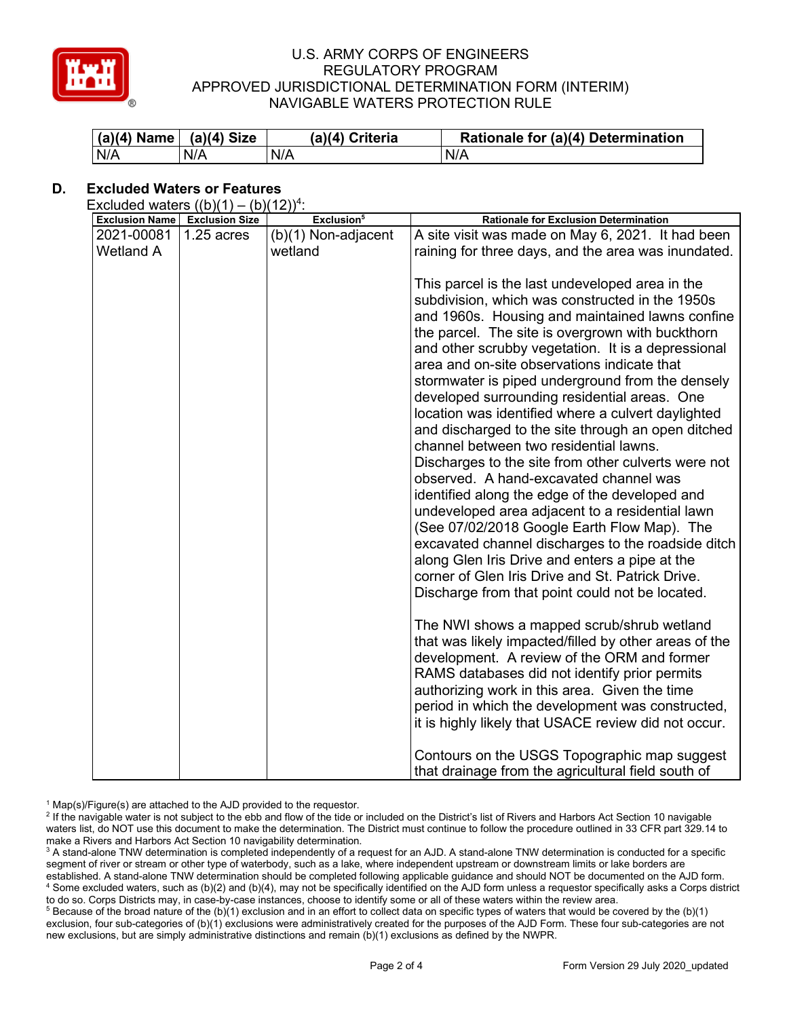

| (a)(4) Name   (a)(4) Size |     | (a)(4) Criteria | Rationale for (a)(4) Determination |
|---------------------------|-----|-----------------|------------------------------------|
| N/A                       | N/A | N/A             | N/A                                |

# **D. Excluded Waters or Features**

Excluded waters  $((b)(1) - (b)(12))^4$ : **Exclusion Name Exclusion Size** *Exclusion<sup>5</sup> <b>Rationale for Exclusion Determination* 2021-00081 1.25 acres Wetland A  $(b)(1)$  Non-adjacent wetland A site visit was made on May 6, 2021. It had been raining for three days, and the area was inundated. This parcel is the last undeveloped area in the subdivision, which was constructed in the 1950s and 1960s. Housing and maintained lawns confine the parcel. The site is overgrown with buckthorn and other scrubby vegetation. It is a depressional area and on-site observations indicate that stormwater is piped underground from the densely developed surrounding residential areas. One location was identified where a culvert daylighted and discharged to the site through an open ditched channel between two residential lawns. Discharges to the site from other culverts were not observed. A hand-excavated channel was identified along the edge of the developed and undeveloped area adjacent to a residential lawn (See 07/02/2018 Google Earth Flow Map). The excavated channel discharges to the roadside ditch along Glen Iris Drive and enters a pipe at the corner of Glen Iris Drive and St. Patrick Drive. Discharge from that point could not be located. The NWI shows a mapped scrub/shrub wetland that was likely impacted/filled by other areas of the development. A review of the ORM and former RAMS databases did not identify prior permits authorizing work in this area. Given the time period in which the development was constructed, it is highly likely that USACE review did not occur. Contours on the USGS Topographic map suggest that drainage from the agricultural field south of

 $1$  Map(s)/Figure(s) are attached to the AJD provided to the requestor.

<sup>2</sup> If the navigable water is not subject to the ebb and flow of the tide or included on the District's list of Rivers and Harbors Act Section 10 navigable waters list, do NOT use this document to make the determination. The District must continue to follow the procedure outlined in 33 CFR part 329.14 to make a Rivers and Harbors Act Section 10 navigability determination.

<sup>3</sup> A stand-alone TNW determination is completed independently of a request for an AJD. A stand-alone TNW determination is conducted for a specific segment of river or stream or other type of waterbody, such as a lake, where independent upstream or downstream limits or lake borders are established. A stand-alone TNW determination should be completed following applicable guidance and should NOT be documented on the AJD form. <sup>4</sup> Some excluded waters, such as (b)(2) and (b)(4), may not be specifically identified on the AJD form unless a requestor specifically asks a Corps district to do so. Corps Districts may, in case-by-case instances, choose to identify some or all of these waters within the review area.

 $5$  Because of the broad nature of the (b)(1) exclusion and in an effort to collect data on specific types of waters that would be covered by the (b)(1) exclusion, four sub-categories of (b)(1) exclusions were administratively created for the purposes of the AJD Form. These four sub-categories are not new exclusions, but are simply administrative distinctions and remain (b)(1) exclusions as defined by the NWPR.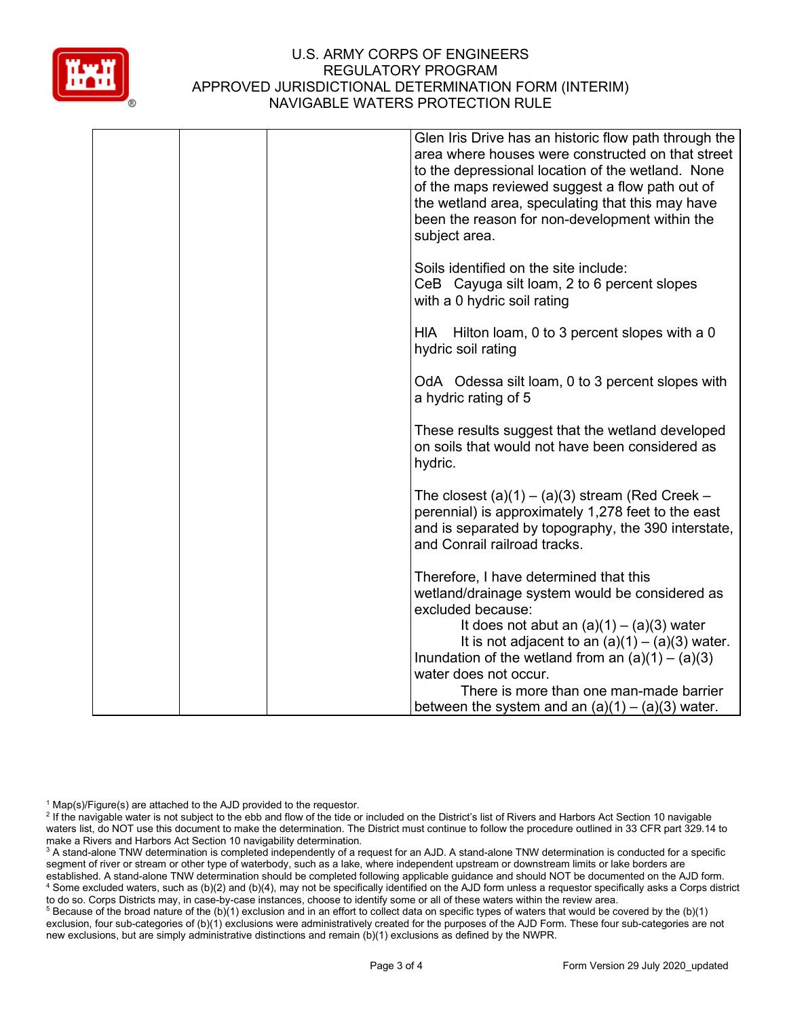

|  | Glen Iris Drive has an historic flow path through the<br>area where houses were constructed on that street<br>to the depressional location of the wetland. None<br>of the maps reviewed suggest a flow path out of<br>the wetland area, speculating that this may have<br>been the reason for non-development within the<br>subject area. |
|--|-------------------------------------------------------------------------------------------------------------------------------------------------------------------------------------------------------------------------------------------------------------------------------------------------------------------------------------------|
|  | Soils identified on the site include:<br>CeB Cayuga silt loam, 2 to 6 percent slopes<br>with a 0 hydric soil rating                                                                                                                                                                                                                       |
|  | HIA Hilton loam, 0 to 3 percent slopes with a 0<br>hydric soil rating                                                                                                                                                                                                                                                                     |
|  | OdA Odessa silt loam, 0 to 3 percent slopes with<br>a hydric rating of 5                                                                                                                                                                                                                                                                  |
|  | These results suggest that the wetland developed<br>on soils that would not have been considered as<br>hydric.                                                                                                                                                                                                                            |
|  | The closest $(a)(1) - (a)(3)$ stream (Red Creek –<br>perennial) is approximately 1,278 feet to the east<br>and is separated by topography, the 390 interstate,<br>and Conrail railroad tracks.                                                                                                                                            |
|  | Therefore, I have determined that this<br>wetland/drainage system would be considered as<br>excluded because:<br>It does not abut an $(a)(1) - (a)(3)$ water                                                                                                                                                                              |
|  | It is not adjacent to an $(a)(1) - (a)(3)$ water.<br>Inundation of the wetland from an $(a)(1) - (a)(3)$<br>water does not occur.<br>There is more than one man-made barrier                                                                                                                                                              |
|  | between the system and an $(a)(1) - (a)(3)$ water.                                                                                                                                                                                                                                                                                        |

 $1$  Map(s)/Figure(s) are attached to the AJD provided to the requestor.

<sup>2</sup> If the navigable water is not subject to the ebb and flow of the tide or included on the District's list of Rivers and Harbors Act Section 10 navigable waters list, do NOT use this document to make the determination. The District must continue to follow the procedure outlined in 33 CFR part 329.14 to make a Rivers and Harbors Act Section 10 navigability determination.

<sup>3</sup> A stand-alone TNW determination is completed independently of a request for an AJD. A stand-alone TNW determination is conducted for a specific segment of river or stream or other type of waterbody, such as a lake, where independent upstream or downstream limits or lake borders are established. A stand-alone TNW determination should be completed following applicable guidance and should NOT be documented on the AJD form. <sup>4</sup> Some excluded waters, such as (b)(2) and (b)(4), may not be specifically identified on the AJD form unless a requestor specifically asks a Corps district to do so. Corps Districts may, in case-by-case instances, choose to identify some or all of these waters within the review area.

<sup>5</sup> Because of the broad nature of the (b)(1) exclusion and in an effort to collect data on specific types of waters that would be covered by the (b)(1) exclusion, four sub-categories of (b)(1) exclusions were administratively created for the purposes of the AJD Form. These four sub-categories are not new exclusions, but are simply administrative distinctions and remain (b)(1) exclusions as defined by the NWPR.